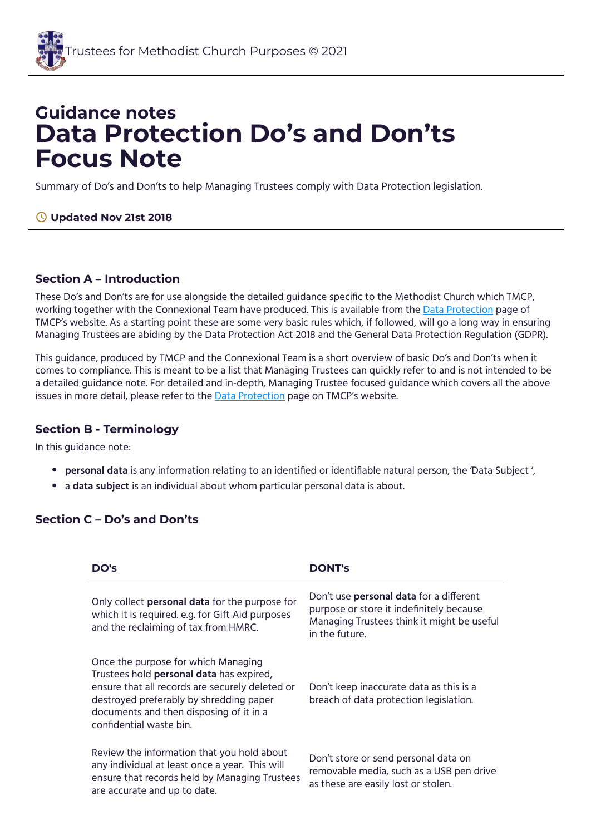# **Guidance notes Data Protection Do's and Don'ts Focus Note**

Summary of Do's and Don'ts to help Managing Trustees comply with Data Protection legislation.

# **Updated Nov 21st 2018**

## **Section A – Introduction**

These Do's and Don'ts are for use alongside the detailed guidance specific to the Methodist Church which TMCP, working together with the Connexional Team have produced. This is available from the Data [Protection](https://www.tmcp.org.uk/about/data-protection) page of TMCP's website. As a starting point these are some very basic rules which, if followed, will go a long way in ensuring Managing Trustees are abiding by the Data Protection Act 2018 and the General Data Protection Regulation (GDPR).

This guidance, produced by TMCP and the Connexional Team is a short overview of basic Do's and Don'ts when it comes to compliance. This is meant to be a list that Managing Trustees can quickly refer to and is not intended to be a detailed guidance note. For detailed and in-depth, Managing Trustee focused guidance which covers all the above issues in more detail, please refer to the **Data [Protection](https://www.tmcp.org.uk/about/data-protection)** page on TMCP's website.

# **Section B - Terminology**

In this guidance note:

- **personal data** is any information relating to an identified or identifiable natural person, the 'Data Subject ',
- a **data subject** is an individual about whom particular personal data is about.

# **Section C – Do's and Don'ts**

| DO's                                                                                                                                                                                                                                                | <b>DONT's</b>                                                                                                                                              |
|-----------------------------------------------------------------------------------------------------------------------------------------------------------------------------------------------------------------------------------------------------|------------------------------------------------------------------------------------------------------------------------------------------------------------|
| Only collect personal data for the purpose for<br>which it is required. e.g. for Gift Aid purposes<br>and the reclaiming of tax from HMRC.                                                                                                          | Don't use <b>personal data</b> for a different<br>purpose or store it indefinitely because<br>Managing Trustees think it might be useful<br>in the future. |
| Once the purpose for which Managing<br>Trustees hold personal data has expired,<br>ensure that all records are securely deleted or<br>destroyed preferably by shredding paper<br>documents and then disposing of it in a<br>confidential waste bin. | Don't keep inaccurate data as this is a<br>breach of data protection legislation.                                                                          |
| Review the information that you hold about<br>any individual at least once a year. This will<br>ensure that records held by Managing Trustees<br>are accurate and up to date.                                                                       | Don't store or send personal data on<br>removable media, such as a USB pen drive<br>as these are easily lost or stolen.                                    |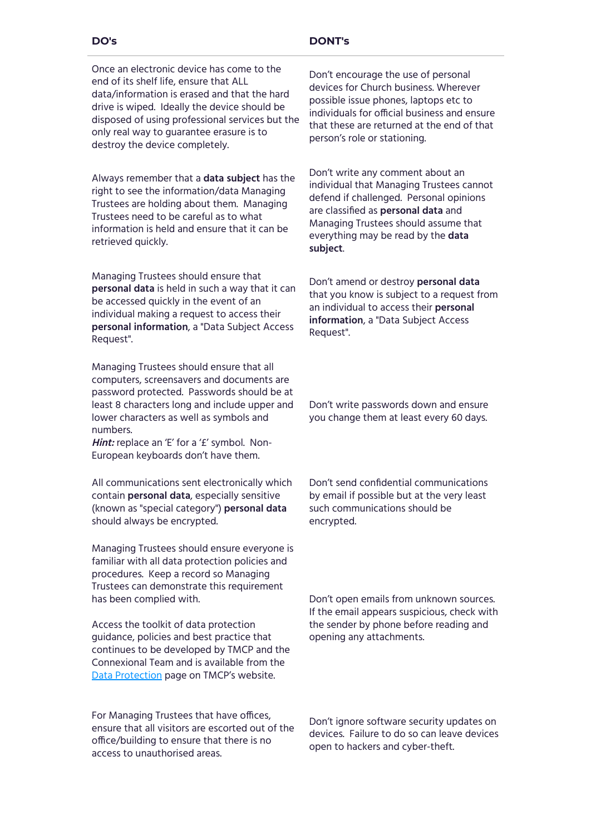#### **DO's DONT's**

Once an electronic device has come to the end of its shelf life, ensure that ALL data/information is erased and that the hard drive is wiped. Ideally the device should be disposed of using professional services but the only real way to guarantee erasure is to destroy the device completely.

Always remember that a **data subject** has the right to see the information/data Managing Trustees are holding about them. Managing Trustees need to be careful as to what information is held and ensure that it can be retrieved quickly.

Managing Trustees should ensure that **personal data** is held in such a way that it can be accessed quickly in the event of an individual making a request to access their **personal information**, a "Data Subject Access Request".

Managing Trustees should ensure that all computers, screensavers and documents are password protected. Passwords should be at least 8 characters long and include upper and lower characters as well as symbols and numbers.

Hint: replace an 'E' for a '£' symbol. Non-European keyboards don't have them.

All communications sent electronically which contain **personal data**, especially sensitive (known as "special category") **personal data** should always be encrypted.

Managing Trustees should ensure everyone is familiar with all data protection policies and procedures. Keep a record so Managing Trustees can demonstrate this requirement has been complied with.

Access the toolkit of data protection guidance, policies and best practice that continues to be developed by TMCP and the Connexional Team and is available from the Data [Protection](https://www.tmcp.org.uk/about/data-protection) page on TMCP's website.

For Managing Trustees that have offices, ensure that all visitors are escorted out of the office/building to ensure that there is no access to unauthorised areas.

Don't encourage the use of personal devices for Church business. Wherever possible issue phones, laptops etc to individuals for official business and ensure that these are returned at the end of that person's role or stationing.

Don't write any comment about an individual that Managing Trustees cannot defend if challenged. Personal opinions are classied as **personal data** and Managing Trustees should assume that everything may be read by the **data subject**.

Don't amend or destroy **personal data** that you know is subject to a request from an individual to access their **personal information**, a "Data Subject Access Request".

Don't write passwords down and ensure you change them at least every 60 days.

Don't send confidential communications by email if possible but at the very least such communications should be encrypted.

Don't open emails from unknown sources. If the email appears suspicious, check with the sender by phone before reading and opening any attachments.

Don't ignore software security updates on devices. Failure to do so can leave devices open to hackers and cyber-theft.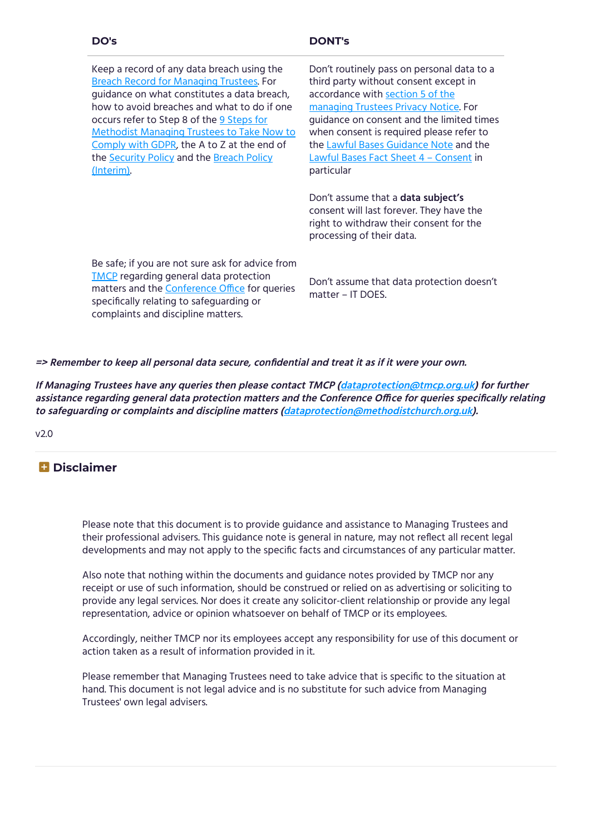#### **DO's DONT's**

Keep a record of any data breach using the Breach Record for [Managing](https://www.tmcp.org.uk/about/data-protection/resources/standard-documents-and-forms/breach-record) Trustees. For guidance on what constitutes a data breach, how to avoid breaches and what to do if one occurs refer to Step 8 of the 9 Steps for [Methodist](https://www.tmcp.org.uk/about/data-protection/resources/guidenotes/9-steps-gdpr) Managing Trustees to Take Now to Comply with GDPR, the A to Z at the end of the [Security](https://www.tmcp.org.uk/about/data-protection/resources/trustee-documents) Policy and the Breach Policy [\(Interim\).](https://www.tmcp.org.uk/about/data-protection/resources/trustee-documents)

Don't routinely pass on personal data to a third party without consent except in [accordance](https://www.tmcp.org.uk/about/data-protection/managing-trustees-privacy-notice#5) with section 5 of the managing Trustees Privacy Notice. For guidance on consent and the limited times when consent is required please refer to the Lawful Bases [Guidance](https://www.tmcp.org.uk/about/data-protection/resources/guidenotes/lawful-bases-guidance) Note and the Lawful Bases Fact Sheet 4 – [Consent](https://www.tmcp.org.uk/about/data-protection/resources/guidenotes/lawful-bases-guidance#fs4) in particular

Don't assume that a **data subject's** consent will last forever. They have the right to withdraw their consent for the processing of their data.

Be safe; if you are not sure ask for advice from [TMCP](mailto:dataprotection@tmcp.org.uk) regarding general data protection matters and the [Conference](mailto:dataprotection@methodistchurch.org.uk) Office for queries specifically relating to safeguarding or complaints and discipline matters.

Don't assume that data protection doesn't matter – IT DOES.

### **=> Remember to keep all personal data secure, condential and treat it as if it were your own.**

**If Managing Trustees have any queries then please contact TMCP [\(dataprotection@tmcp.org.uk\)](mailto:dataprotection@tmcp.org.uk) for further assistance regarding general data protection matters and the Conference Oce for queries specically relating to safeguarding or complaints and discipline matters [\(dataprotection@methodistchurch.org.uk\)](mailto:dataprotection@methodistchurch.org.uk).**

v2.0

# **Disclaimer**

Please note that this document is to provide guidance and assistance to Managing Trustees and their professional advisers. This guidance note is general in nature, may not reflect all recent legal developments and may not apply to the specific facts and circumstances of any particular matter.

Also note that nothing within the documents and guidance notes provided by TMCP nor any receipt or use of such information, should be construed or relied on as advertising or soliciting to provide any legal services. Nor does it create any solicitor-client relationship or provide any legal representation, advice or opinion whatsoever on behalf of TMCP or its employees.

Accordingly, neither TMCP nor its employees accept any responsibility for use of this document or action taken as a result of information provided in it.

Please remember that Managing Trustees need to take advice that is specific to the situation at hand. This document is not legal advice and is no substitute for such advice from Managing Trustees' own legal advisers.